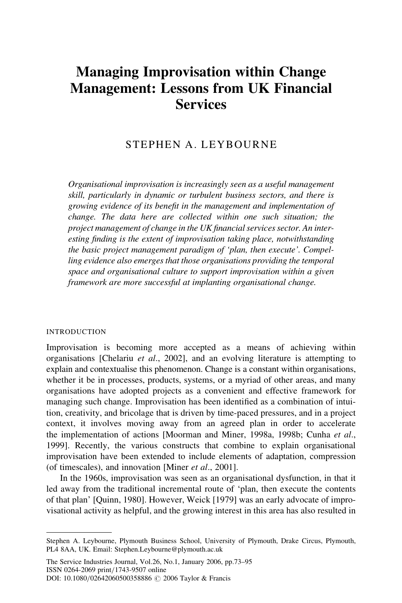# Managing Improvisation within Change Management: Lessons from UK Financial **Services**

# STEPHEN A. LEYBOURNE

Organisational improvisation is increasingly seen as a useful management skill, particularly in dynamic or turbulent business sectors, and there is growing evidence of its benefit in the management and implementation of change. The data here are collected within one such situation; the project management of change in the UK financial services sector. An interesting finding is the extent of improvisation taking place, notwithstanding the basic project management paradigm of 'plan, then execute'. Compelling evidence also emerges that those organisations providing the temporal space and organisational culture to support improvisation within a given framework are more successful at implanting organisational change.

#### INTRODUCTION

Improvisation is becoming more accepted as a means of achieving within organisations [Chelariu *et al.*, 2002], and an evolving literature is attempting to explain and contextualise this phenomenon. Change is a constant within organisations, whether it be in processes, products, systems, or a myriad of other areas, and many organisations have adopted projects as a convenient and effective framework for managing such change. Improvisation has been identified as a combination of intuition, creativity, and bricolage that is driven by time-paced pressures, and in a project context, it involves moving away from an agreed plan in order to accelerate the implementation of actions [Moorman and Miner, 1998a, 1998b; Cunha et al., 1999]. Recently, the various constructs that combine to explain organisational improvisation have been extended to include elements of adaptation, compression (of timescales), and innovation [Miner et al., 2001].

In the 1960s, improvisation was seen as an organisational dysfunction, in that it led away from the traditional incremental route of 'plan, then execute the contents of that plan' [Quinn, 1980]. However, Weick [1979] was an early advocate of improvisational activity as helpful, and the growing interest in this area has also resulted in

The Service Industries Journal, Vol.26, No.1, January 2006, pp.73–95 ISSN 0264-2069 print/1743-9507 online DOI: 10.1080/02642060500358886 © 2006 Taylor & Francis

Stephen A. Leybourne, Plymouth Business School, University of Plymouth, Drake Circus, Plymouth, PL4 8AA, UK. Email: Stephen.Leybourne@plymouth.ac.uk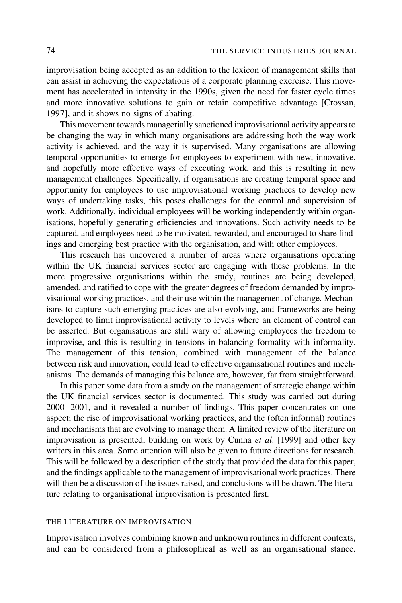improvisation being accepted as an addition to the lexicon of management skills that can assist in achieving the expectations of a corporate planning exercise. This movement has accelerated in intensity in the 1990s, given the need for faster cycle times and more innovative solutions to gain or retain competitive advantage [Crossan, 1997], and it shows no signs of abating.

This movement towards managerially sanctioned improvisational activity appears to be changing the way in which many organisations are addressing both the way work activity is achieved, and the way it is supervised. Many organisations are allowing temporal opportunities to emerge for employees to experiment with new, innovative, and hopefully more effective ways of executing work, and this is resulting in new management challenges. Specifically, if organisations are creating temporal space and opportunity for employees to use improvisational working practices to develop new ways of undertaking tasks, this poses challenges for the control and supervision of work. Additionally, individual employees will be working independently within organisations, hopefully generating efficiencies and innovations. Such activity needs to be captured, and employees need to be motivated, rewarded, and encouraged to share findings and emerging best practice with the organisation, and with other employees.

This research has uncovered a number of areas where organisations operating within the UK financial services sector are engaging with these problems. In the more progressive organisations within the study, routines are being developed, amended, and ratified to cope with the greater degrees of freedom demanded by improvisational working practices, and their use within the management of change. Mechanisms to capture such emerging practices are also evolving, and frameworks are being developed to limit improvisational activity to levels where an element of control can be asserted. But organisations are still wary of allowing employees the freedom to improvise, and this is resulting in tensions in balancing formality with informality. The management of this tension, combined with management of the balance between risk and innovation, could lead to effective organisational routines and mechanisms. The demands of managing this balance are, however, far from straightforward.

In this paper some data from a study on the management of strategic change within the UK financial services sector is documented. This study was carried out during 2000–2001, and it revealed a number of findings. This paper concentrates on one aspect; the rise of improvisational working practices, and the (often informal) routines and mechanisms that are evolving to manage them. A limited review of the literature on improvisation is presented, building on work by Cunha et al. [1999] and other key writers in this area. Some attention will also be given to future directions for research. This will be followed by a description of the study that provided the data for this paper, and the findings applicable to the management of improvisational work practices. There will then be a discussion of the issues raised, and conclusions will be drawn. The literature relating to organisational improvisation is presented first.

#### THE LITERATURE ON IMPROVISATION

Improvisation involves combining known and unknown routines in different contexts, and can be considered from a philosophical as well as an organisational stance.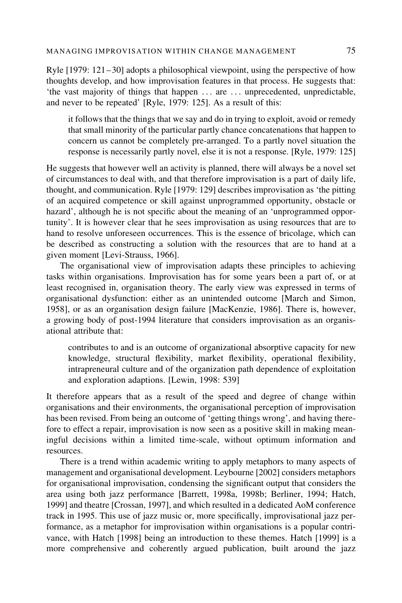Ryle [1979: 121–30] adopts a philosophical viewpoint, using the perspective of how thoughts develop, and how improvisation features in that process. He suggests that: 'the vast majority of things that happen ... are ... unprecedented, unpredictable, and never to be repeated' [Ryle, 1979: 125]. As a result of this:

it follows that the things that we say and do in trying to exploit, avoid or remedy that small minority of the particular partly chance concatenations that happen to concern us cannot be completely pre-arranged. To a partly novel situation the response is necessarily partly novel, else it is not a response. [Ryle, 1979: 125]

He suggests that however well an activity is planned, there will always be a novel set of circumstances to deal with, and that therefore improvisation is a part of daily life, thought, and communication. Ryle [1979: 129] describes improvisation as 'the pitting of an acquired competence or skill against unprogrammed opportunity, obstacle or hazard', although he is not specific about the meaning of an 'unprogrammed opportunity'. It is however clear that he sees improvisation as using resources that are to hand to resolve unforeseen occurrences. This is the essence of bricolage, which can be described as constructing a solution with the resources that are to hand at a given moment [Levi-Strauss, 1966].

The organisational view of improvisation adapts these principles to achieving tasks within organisations. Improvisation has for some years been a part of, or at least recognised in, organisation theory. The early view was expressed in terms of organisational dysfunction: either as an unintended outcome [March and Simon, 1958], or as an organisation design failure [MacKenzie, 1986]. There is, however, a growing body of post-1994 literature that considers improvisation as an organisational attribute that:

contributes to and is an outcome of organizational absorptive capacity for new knowledge, structural flexibility, market flexibility, operational flexibility, intrapreneural culture and of the organization path dependence of exploitation and exploration adaptions. [Lewin, 1998: 539]

It therefore appears that as a result of the speed and degree of change within organisations and their environments, the organisational perception of improvisation has been revised. From being an outcome of 'getting things wrong', and having therefore to effect a repair, improvisation is now seen as a positive skill in making meaningful decisions within a limited time-scale, without optimum information and resources.

There is a trend within academic writing to apply metaphors to many aspects of management and organisational development. Leybourne [2002] considers metaphors for organisational improvisation, condensing the significant output that considers the area using both jazz performance [Barrett, 1998a, 1998b; Berliner, 1994; Hatch, 1999] and theatre [Crossan, 1997], and which resulted in a dedicated AoM conference track in 1995. This use of jazz music or, more specifically, improvisational jazz performance, as a metaphor for improvisation within organisations is a popular contrivance, with Hatch [1998] being an introduction to these themes. Hatch [1999] is a more comprehensive and coherently argued publication, built around the jazz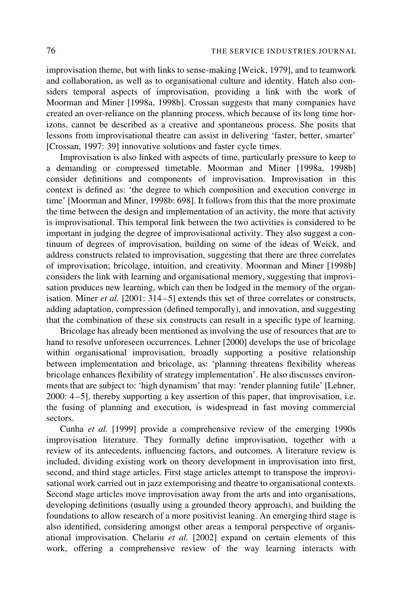improvisation theme, but with links to sense-making [Weick, 1979], and to teamwork and collaboration, as well as to organisational culture and identity. Hatch also considers temporal aspects of improvisation, providing a link with the work of Moorman and Miner [1998a, 1998b]. Crossan suggests that many companies have created an over-reliance on the planning process, which because of its long time horizons, cannot be described as a creative and spontaneous process. She posits that lessons from improvisational theatre can assist in delivering 'faster, better, smarter' [Crossan, 1997: 39] innovative solutions and faster cycle times.

Improvisation is also linked with aspects of time, particularly pressure to keep to a demanding or compressed timetable. Moorman and Miner [1998a, 1998b] consider definitions and components of improvisation. Improvisation in this context is defined as: 'the degree to which composition and execution converge in time' [Moorman and Miner, 1998b: 698]. It follows from this that the more proximate the time between the design and implementation of an activity, the more that activity is improvisational. This temporal link between the two activities is considered to be important in judging the degree of improvisational activity. They also suggest a continuum of degrees of improvisation, building on some of the ideas of Weick, and address constructs related to improvisation, suggesting that there are three correlates of improvisation; bricolage, intuition, and creativity. Moorman and Miner [1998b] considers the link with learning and organisational memory, suggesting that improvisation produces new learning, which can then be lodged in the memory of the organisation. Miner *et al.* [2001:  $314-5$ ] extends this set of three correlates or constructs, adding adaptation, compression (defined temporally), and innovation, and suggesting that the combination of these six constructs can result in a specific type of learning.

Bricolage has already been mentioned as involving the use of resources that are to hand to resolve unforeseen occurrences. Lehner [2000] develops the use of bricolage within organisational improvisation, broadly supporting a positive relationship between implementation and bricolage, as: 'planning threatens flexibility whereas bricolage enhances flexibility of strategy implementation'. He also discusses environments that are subject to: 'high dynamism' that may: 'render planning futile' [Lehner, 2000: 4 –5], thereby supporting a key assertion of this paper, that improvisation, i.e. the fusing of planning and execution, is widespread in fast moving commercial sectors.

Cunha et al. [1999] provide a comprehensive review of the emerging 1990s improvisation literature. They formally define improvisation, together with a review of its antecedents, influencing factors, and outcomes. A literature review is included, dividing existing work on theory development in improvisation into first, second, and third stage articles. First stage articles attempt to transpose the improvisational work carried out in jazz extemporising and theatre to organisational contexts. Second stage articles move improvisation away from the arts and into organisations, developing definitions (usually using a grounded theory approach), and building the foundations to allow research of a more positivist leaning. An emerging third stage is also identified, considering amongst other areas a temporal perspective of organisational improvisation. Chelariu et al. [2002] expand on certain elements of this work, offering a comprehensive review of the way learning interacts with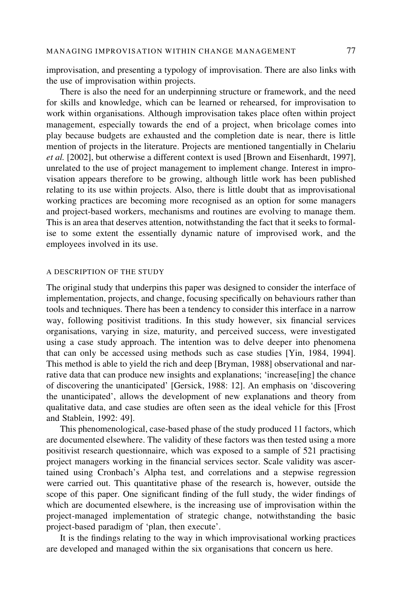improvisation, and presenting a typology of improvisation. There are also links with the use of improvisation within projects.

There is also the need for an underpinning structure or framework, and the need for skills and knowledge, which can be learned or rehearsed, for improvisation to work within organisations. Although improvisation takes place often within project management, especially towards the end of a project, when bricolage comes into play because budgets are exhausted and the completion date is near, there is little mention of projects in the literature. Projects are mentioned tangentially in Chelariu et al. [2002], but otherwise a different context is used [Brown and Eisenhardt, 1997], unrelated to the use of project management to implement change. Interest in improvisation appears therefore to be growing, although little work has been published relating to its use within projects. Also, there is little doubt that as improvisational working practices are becoming more recognised as an option for some managers and project-based workers, mechanisms and routines are evolving to manage them. This is an area that deserves attention, notwithstanding the fact that it seeks to formalise to some extent the essentially dynamic nature of improvised work, and the employees involved in its use.

#### A DESCRIPTION OF THE STUDY

The original study that underpins this paper was designed to consider the interface of implementation, projects, and change, focusing specifically on behaviours rather than tools and techniques. There has been a tendency to consider this interface in a narrow way, following positivist traditions. In this study however, six financial services organisations, varying in size, maturity, and perceived success, were investigated using a case study approach. The intention was to delve deeper into phenomena that can only be accessed using methods such as case studies [Yin, 1984, 1994]. This method is able to yield the rich and deep [Bryman, 1988] observational and narrative data that can produce new insights and explanations; 'increase[ing] the chance of discovering the unanticipated' [Gersick, 1988: 12]. An emphasis on 'discovering the unanticipated', allows the development of new explanations and theory from qualitative data, and case studies are often seen as the ideal vehicle for this [Frost and Stablein, 1992: 49].

This phenomenological, case-based phase of the study produced 11 factors, which are documented elsewhere. The validity of these factors was then tested using a more positivist research questionnaire, which was exposed to a sample of 521 practising project managers working in the financial services sector. Scale validity was ascertained using Cronbach's Alpha test, and correlations and a stepwise regression were carried out. This quantitative phase of the research is, however, outside the scope of this paper. One significant finding of the full study, the wider findings of which are documented elsewhere, is the increasing use of improvisation within the project-managed implementation of strategic change, notwithstanding the basic project-based paradigm of 'plan, then execute'.

It is the findings relating to the way in which improvisational working practices are developed and managed within the six organisations that concern us here.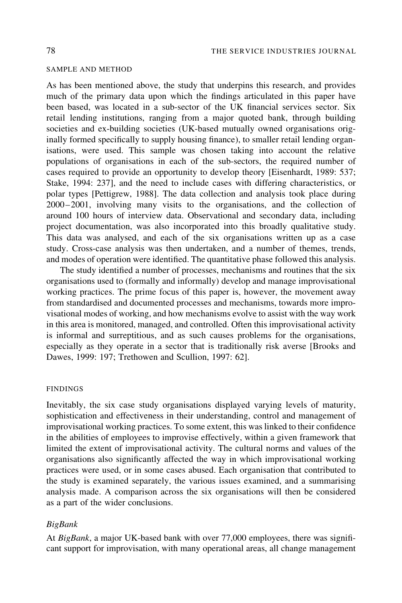#### SAMPLE AND METHOD

As has been mentioned above, the study that underpins this research, and provides much of the primary data upon which the findings articulated in this paper have been based, was located in a sub-sector of the UK financial services sector. Six retail lending institutions, ranging from a major quoted bank, through building societies and ex-building societies (UK-based mutually owned organisations originally formed specifically to supply housing finance), to smaller retail lending organisations, were used. This sample was chosen taking into account the relative populations of organisations in each of the sub-sectors, the required number of cases required to provide an opportunity to develop theory [Eisenhardt, 1989: 537; Stake, 1994: 237], and the need to include cases with differing characteristics, or polar types [Pettigrew, 1988]. The data collection and analysis took place during 2000 –2001, involving many visits to the organisations, and the collection of around 100 hours of interview data. Observational and secondary data, including project documentation, was also incorporated into this broadly qualitative study. This data was analysed, and each of the six organisations written up as a case study. Cross-case analysis was then undertaken, and a number of themes, trends, and modes of operation were identified. The quantitative phase followed this analysis.

The study identified a number of processes, mechanisms and routines that the six organisations used to (formally and informally) develop and manage improvisational working practices. The prime focus of this paper is, however, the movement away from standardised and documented processes and mechanisms, towards more improvisational modes of working, and how mechanisms evolve to assist with the way work in this area is monitored, managed, and controlled. Often this improvisational activity is informal and surreptitious, and as such causes problems for the organisations, especially as they operate in a sector that is traditionally risk averse [Brooks and Dawes, 1999: 197; Trethowen and Scullion, 1997: 62].

#### FINDINGS

Inevitably, the six case study organisations displayed varying levels of maturity, sophistication and effectiveness in their understanding, control and management of improvisational working practices. To some extent, this was linked to their confidence in the abilities of employees to improvise effectively, within a given framework that limited the extent of improvisational activity. The cultural norms and values of the organisations also significantly affected the way in which improvisational working practices were used, or in some cases abused. Each organisation that contributed to the study is examined separately, the various issues examined, and a summarising analysis made. A comparison across the six organisations will then be considered as a part of the wider conclusions.

#### BigBank

At BigBank, a major UK-based bank with over 77,000 employees, there was significant support for improvisation, with many operational areas, all change management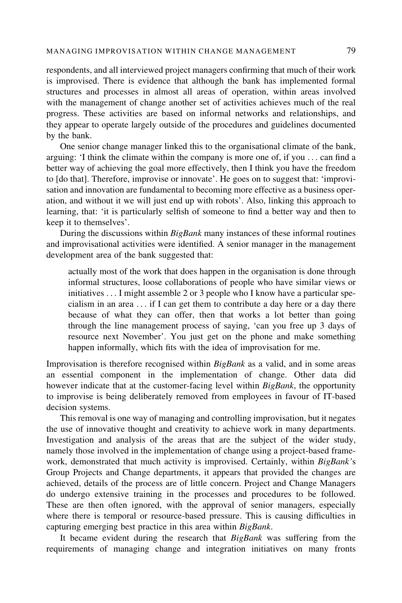# MANAGING IMPROVISATION WITHIN CHANGE MANAGEMENT 79

respondents, and all interviewed project managers confirming that much of their work is improvised. There is evidence that although the bank has implemented formal structures and processes in almost all areas of operation, within areas involved with the management of change another set of activities achieves much of the real progress. These activities are based on informal networks and relationships, and they appear to operate largely outside of the procedures and guidelines documented by the bank.

One senior change manager linked this to the organisational climate of the bank, arguing: 'I think the climate within the company is more one of, if you ... can find a better way of achieving the goal more effectively, then I think you have the freedom to [do that]. Therefore, improvise or innovate'. He goes on to suggest that: 'improvisation and innovation are fundamental to becoming more effective as a business operation, and without it we will just end up with robots'. Also, linking this approach to learning, that: 'it is particularly selfish of someone to find a better way and then to keep it to themselves'.

During the discussions within  $BigBank$  many instances of these informal routines and improvisational activities were identified. A senior manager in the management development area of the bank suggested that:

actually most of the work that does happen in the organisation is done through informal structures, loose collaborations of people who have similar views or initiatives ... I might assemble 2 or 3 people who I know have a particular specialism in an area ... if I can get them to contribute a day here or a day there because of what they can offer, then that works a lot better than going through the line management process of saying, 'can you free up 3 days of resource next November'. You just get on the phone and make something happen informally, which fits with the idea of improvisation for me.

Improvisation is therefore recognised within BigBank as a valid, and in some areas an essential component in the implementation of change. Other data did however indicate that at the customer-facing level within BigBank, the opportunity to improvise is being deliberately removed from employees in favour of IT-based decision systems.

This removal is one way of managing and controlling improvisation, but it negates the use of innovative thought and creativity to achieve work in many departments. Investigation and analysis of the areas that are the subject of the wider study, namely those involved in the implementation of change using a project-based framework, demonstrated that much activity is improvised. Certainly, within BigBank's Group Projects and Change departments, it appears that provided the changes are achieved, details of the process are of little concern. Project and Change Managers do undergo extensive training in the processes and procedures to be followed. These are then often ignored, with the approval of senior managers, especially where there is temporal or resource-based pressure. This is causing difficulties in capturing emerging best practice in this area within BigBank.

It became evident during the research that BigBank was suffering from the requirements of managing change and integration initiatives on many fronts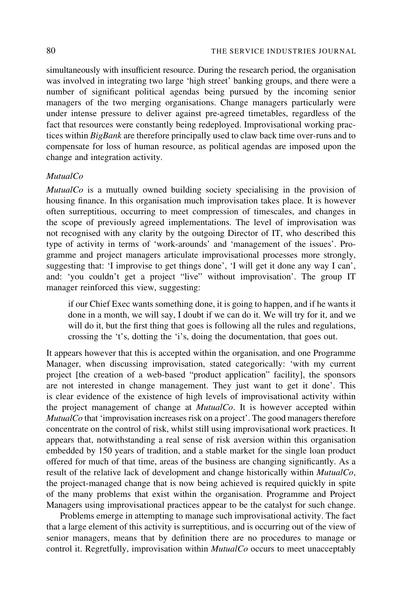simultaneously with insufficient resource. During the research period, the organisation was involved in integrating two large 'high street' banking groups, and there were a number of significant political agendas being pursued by the incoming senior managers of the two merging organisations. Change managers particularly were under intense pressure to deliver against pre-agreed timetables, regardless of the fact that resources were constantly being redeployed. Improvisational working practices within BigBank are therefore principally used to claw back time over-runs and to compensate for loss of human resource, as political agendas are imposed upon the change and integration activity.

#### MutualCo

MutualCo is a mutually owned building society specialising in the provision of housing finance. In this organisation much improvisation takes place. It is however often surreptitious, occurring to meet compression of timescales, and changes in the scope of previously agreed implementations. The level of improvisation was not recognised with any clarity by the outgoing Director of IT, who described this type of activity in terms of 'work-arounds' and 'management of the issues'. Programme and project managers articulate improvisational processes more strongly, suggesting that: 'I improvise to get things done', 'I will get it done any way I can', and: 'you couldn't get a project "live" without improvisation'. The group IT manager reinforced this view, suggesting:

if our Chief Exec wants something done, it is going to happen, and if he wants it done in a month, we will say, I doubt if we can do it. We will try for it, and we will do it, but the first thing that goes is following all the rules and regulations, crossing the 't's, dotting the 'i's, doing the documentation, that goes out.

It appears however that this is accepted within the organisation, and one Programme Manager, when discussing improvisation, stated categorically: 'with my current project [the creation of a web-based "product application" facility], the sponsors are not interested in change management. They just want to get it done'. This is clear evidence of the existence of high levels of improvisational activity within the project management of change at MutualCo. It is however accepted within MutualCo that 'improvisation increases risk on a project'. The good managers therefore concentrate on the control of risk, whilst still using improvisational work practices. It appears that, notwithstanding a real sense of risk aversion within this organisation embedded by 150 years of tradition, and a stable market for the single loan product offered for much of that time, areas of the business are changing significantly. As a result of the relative lack of development and change historically within MutualCo, the project-managed change that is now being achieved is required quickly in spite of the many problems that exist within the organisation. Programme and Project Managers using improvisational practices appear to be the catalyst for such change.

Problems emerge in attempting to manage such improvisational activity. The fact that a large element of this activity is surreptitious, and is occurring out of the view of senior managers, means that by definition there are no procedures to manage or control it. Regretfully, improvisation within *MutualCo* occurs to meet unacceptably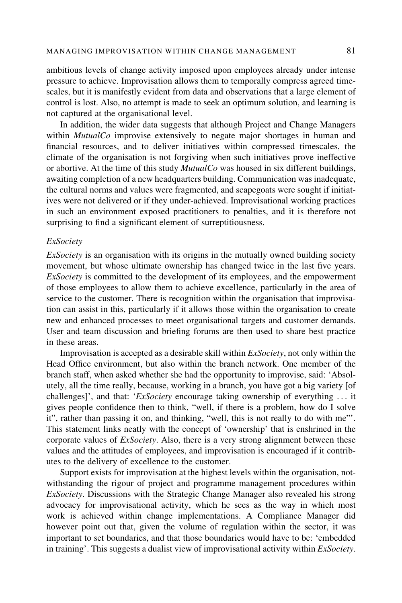ambitious levels of change activity imposed upon employees already under intense pressure to achieve. Improvisation allows them to temporally compress agreed timescales, but it is manifestly evident from data and observations that a large element of control is lost. Also, no attempt is made to seek an optimum solution, and learning is not captured at the organisational level.

In addition, the wider data suggests that although Project and Change Managers within *MutualCo* improvise extensively to negate major shortages in human and financial resources, and to deliver initiatives within compressed timescales, the climate of the organisation is not forgiving when such initiatives prove ineffective or abortive. At the time of this study *MutualCo* was housed in six different buildings, awaiting completion of a new headquarters building. Communication was inadequate, the cultural norms and values were fragmented, and scapegoats were sought if initiatives were not delivered or if they under-achieved. Improvisational working practices in such an environment exposed practitioners to penalties, and it is therefore not surprising to find a significant element of surreptitiousness.

#### ExSociety

ExSociety is an organisation with its origins in the mutually owned building society movement, but whose ultimate ownership has changed twice in the last five years. ExSociety is committed to the development of its employees, and the empowerment of those employees to allow them to achieve excellence, particularly in the area of service to the customer. There is recognition within the organisation that improvisation can assist in this, particularly if it allows those within the organisation to create new and enhanced processes to meet organisational targets and customer demands. User and team discussion and briefing forums are then used to share best practice in these areas.

Improvisation is accepted as a desirable skill within ExSociety, not only within the Head Office environment, but also within the branch network. One member of the branch staff, when asked whether she had the opportunity to improvise, said: 'Absolutely, all the time really, because, working in a branch, you have got a big variety [of challenges]', and that: ' $ExSociety$  encourage taking ownership of everything ... it gives people confidence then to think, "well, if there is a problem, how do I solve it", rather than passing it on, and thinking, "well, this is not really to do with me"'. This statement links neatly with the concept of 'ownership' that is enshrined in the corporate values of *ExSociety*. Also, there is a very strong alignment between these values and the attitudes of employees, and improvisation is encouraged if it contributes to the delivery of excellence to the customer.

Support exists for improvisation at the highest levels within the organisation, notwithstanding the rigour of project and programme management procedures within ExSociety. Discussions with the Strategic Change Manager also revealed his strong advocacy for improvisational activity, which he sees as the way in which most work is achieved within change implementations. A Compliance Manager did however point out that, given the volume of regulation within the sector, it was important to set boundaries, and that those boundaries would have to be: 'embedded in training'. This suggests a dualist view of improvisational activity within *ExSociety*.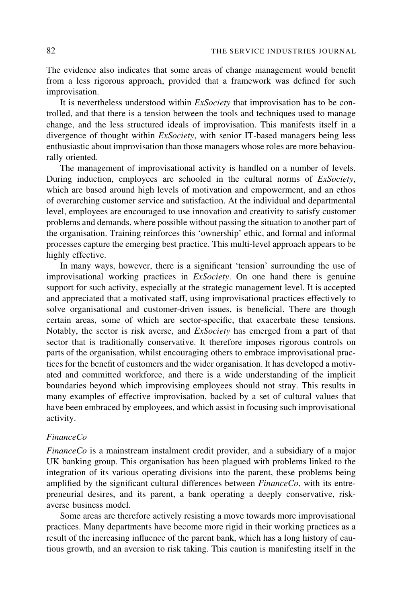The evidence also indicates that some areas of change management would benefit from a less rigorous approach, provided that a framework was defined for such improvisation.

It is nevertheless understood within *ExSociety* that improvisation has to be controlled, and that there is a tension between the tools and techniques used to manage change, and the less structured ideals of improvisation. This manifests itself in a divergence of thought within  $ExSociety$ , with senior IT-based managers being less enthusiastic about improvisation than those managers whose roles are more behaviourally oriented.

The management of improvisational activity is handled on a number of levels. During induction, employees are schooled in the cultural norms of *ExSociety*, which are based around high levels of motivation and empowerment, and an ethos of overarching customer service and satisfaction. At the individual and departmental level, employees are encouraged to use innovation and creativity to satisfy customer problems and demands, where possible without passing the situation to another part of the organisation. Training reinforces this 'ownership' ethic, and formal and informal processes capture the emerging best practice. This multi-level approach appears to be highly effective.

In many ways, however, there is a significant 'tension' surrounding the use of improvisational working practices in *ExSociety*. On one hand there is genuine support for such activity, especially at the strategic management level. It is accepted and appreciated that a motivated staff, using improvisational practices effectively to solve organisational and customer-driven issues, is beneficial. There are though certain areas, some of which are sector-specific, that exacerbate these tensions. Notably, the sector is risk averse, and ExSociety has emerged from a part of that sector that is traditionally conservative. It therefore imposes rigorous controls on parts of the organisation, whilst encouraging others to embrace improvisational practices for the benefit of customers and the wider organisation. It has developed a motivated and committed workforce, and there is a wide understanding of the implicit boundaries beyond which improvising employees should not stray. This results in many examples of effective improvisation, backed by a set of cultural values that have been embraced by employees, and which assist in focusing such improvisational activity.

# FinanceCo

FinanceCo is a mainstream instalment credit provider, and a subsidiary of a major UK banking group. This organisation has been plagued with problems linked to the integration of its various operating divisions into the parent, these problems being amplified by the significant cultural differences between  $FinanceCo$ , with its entrepreneurial desires, and its parent, a bank operating a deeply conservative, riskaverse business model.

Some areas are therefore actively resisting a move towards more improvisational practices. Many departments have become more rigid in their working practices as a result of the increasing influence of the parent bank, which has a long history of cautious growth, and an aversion to risk taking. This caution is manifesting itself in the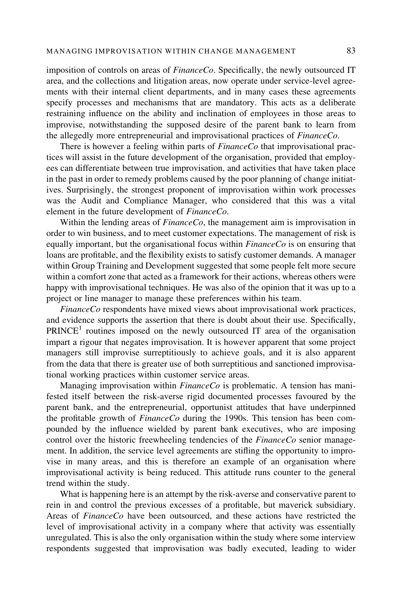## MANAGING IMPROVISATION WITHIN CHANGE MANAGEMENT 83

imposition of controls on areas of *FinanceCo*. Specifically, the newly outsourced IT area, and the collections and litigation areas, now operate under service-level agreements with their internal client departments, and in many cases these agreements specify processes and mechanisms that are mandatory. This acts as a deliberate restraining influence on the ability and inclination of employees in those areas to improvise, notwithstanding the supposed desire of the parent bank to learn from the allegedly more entrepreneurial and improvisational practices of FinanceCo.

There is however a feeling within parts of *FinanceCo* that improvisational practices will assist in the future development of the organisation, provided that employees can differentiate between true improvisation, and activities that have taken place in the past in order to remedy problems caused by the poor planning of change initiatives. Surprisingly, the strongest proponent of improvisation within work processes was the Audit and Compliance Manager, who considered that this was a vital element in the future development of FinanceCo.

Within the lending areas of *FinanceCo*, the management aim is improvisation in order to win business, and to meet customer expectations. The management of risk is equally important, but the organisational focus within  $FinanceCo$  is on ensuring that loans are profitable, and the flexibility exists to satisfy customer demands. A manager within Group Training and Development suggested that some people felt more secure within a comfort zone that acted as a framework for their actions, whereas others were happy with improvisational techniques. He was also of the opinion that it was up to a project or line manager to manage these preferences within his team.

FinanceCo respondents have mixed views about improvisational work practices, and evidence supports the assertion that there is doubt about their use. Specifically,  $PRINCE<sup>1</sup>$  routines imposed on the newly outsourced IT area of the organisation impart a rigour that negates improvisation. It is however apparent that some project managers still improvise surreptitiously to achieve goals, and it is also apparent from the data that there is greater use of both surreptitious and sanctioned improvisational working practices within customer service areas.

Managing improvisation within *FinanceCo* is problematic. A tension has manifested itself between the risk-averse rigid documented processes favoured by the parent bank, and the entrepreneurial, opportunist attitudes that have underpinned the profitable growth of FinanceCo during the 1990s. This tension has been compounded by the influence wielded by parent bank executives, who are imposing control over the historic freewheeling tendencies of the  $FinanceCo$  senior management. In addition, the service level agreements are stifling the opportunity to improvise in many areas, and this is therefore an example of an organisation where improvisational activity is being reduced. This attitude runs counter to the general trend within the study.

What is happening here is an attempt by the risk-averse and conservative parent to rein in and control the previous excesses of a profitable, but maverick subsidiary. Areas of FinanceCo have been outsourced, and these actions have restricted the level of improvisational activity in a company where that activity was essentially unregulated. This is also the only organisation within the study where some interview respondents suggested that improvisation was badly executed, leading to wider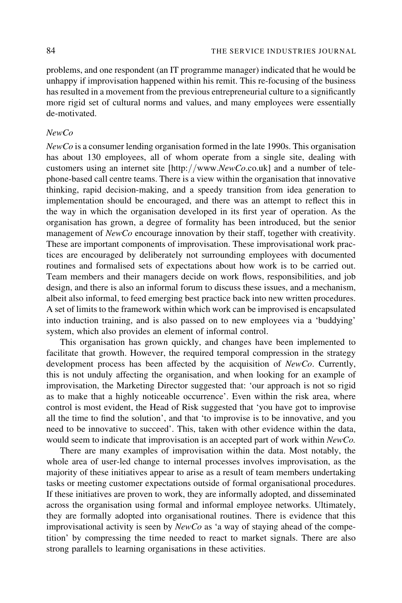problems, and one respondent (an IT programme manager) indicated that he would be unhappy if improvisation happened within his remit. This re-focusing of the business has resulted in a movement from the previous entrepreneurial culture to a significantly more rigid set of cultural norms and values, and many employees were essentially de-motivated.

#### NewCo

NewCo is a consumer lending organisation formed in the late 1990s. This organisation has about 130 employees, all of whom operate from a single site, dealing with customers using an internet site [http://www.NewCo.co.uk] and a number of telephone-based call centre teams. There is a view within the organisation that innovative thinking, rapid decision-making, and a speedy transition from idea generation to implementation should be encouraged, and there was an attempt to reflect this in the way in which the organisation developed in its first year of operation. As the organisation has grown, a degree of formality has been introduced, but the senior management of NewCo encourage innovation by their staff, together with creativity. These are important components of improvisation. These improvisational work practices are encouraged by deliberately not surrounding employees with documented routines and formalised sets of expectations about how work is to be carried out. Team members and their managers decide on work flows, responsibilities, and job design, and there is also an informal forum to discuss these issues, and a mechanism, albeit also informal, to feed emerging best practice back into new written procedures. A set of limits to the framework within which work can be improvised is encapsulated into induction training, and is also passed on to new employees via a 'buddying' system, which also provides an element of informal control.

This organisation has grown quickly, and changes have been implemented to facilitate that growth. However, the required temporal compression in the strategy development process has been affected by the acquisition of NewCo. Currently, this is not unduly affecting the organisation, and when looking for an example of improvisation, the Marketing Director suggested that: 'our approach is not so rigid as to make that a highly noticeable occurrence'. Even within the risk area, where control is most evident, the Head of Risk suggested that 'you have got to improvise all the time to find the solution', and that 'to improvise is to be innovative, and you need to be innovative to succeed'. This, taken with other evidence within the data, would seem to indicate that improvisation is an accepted part of work within NewCo.

There are many examples of improvisation within the data. Most notably, the whole area of user-led change to internal processes involves improvisation, as the majority of these initiatives appear to arise as a result of team members undertaking tasks or meeting customer expectations outside of formal organisational procedures. If these initiatives are proven to work, they are informally adopted, and disseminated across the organisation using formal and informal employee networks. Ultimately, they are formally adopted into organisational routines. There is evidence that this improvisational activity is seen by  $NewCo$  as 'a way of staying ahead of the competition' by compressing the time needed to react to market signals. There are also strong parallels to learning organisations in these activities.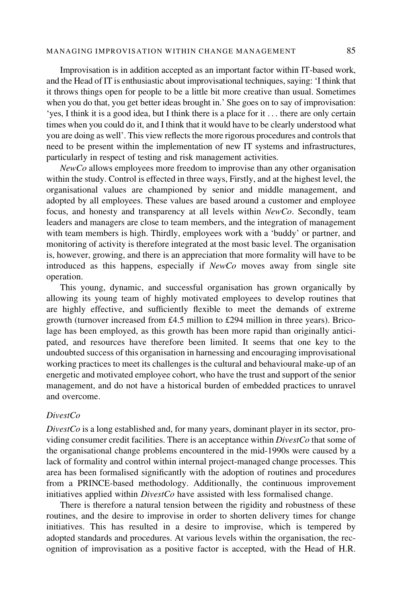# MANAGING IMPROVISATION WITHIN CHANGE MANAGEMENT 85

Improvisation is in addition accepted as an important factor within IT-based work, and the Head of IT is enthusiastic about improvisational techniques, saying: 'I think that it throws things open for people to be a little bit more creative than usual. Sometimes when you do that, you get better ideas brought in.' She goes on to say of improvisation: 'yes, I think it is a good idea, but I think there is a place for it ... there are only certain times when you could do it, and I think that it would have to be clearly understood what you are doing as well'. This view reflects the more rigorous procedures and controls that need to be present within the implementation of new IT systems and infrastructures, particularly in respect of testing and risk management activities.

NewCo allows employees more freedom to improvise than any other organisation within the study. Control is effected in three ways, Firstly, and at the highest level, the organisational values are championed by senior and middle management, and adopted by all employees. These values are based around a customer and employee focus, and honesty and transparency at all levels within NewCo. Secondly, team leaders and managers are close to team members, and the integration of management with team members is high. Thirdly, employees work with a 'buddy' or partner, and monitoring of activity is therefore integrated at the most basic level. The organisation is, however, growing, and there is an appreciation that more formality will have to be introduced as this happens, especially if NewCo moves away from single site operation.

This young, dynamic, and successful organisation has grown organically by allowing its young team of highly motivated employees to develop routines that are highly effective, and sufficiently flexible to meet the demands of extreme growth (turnover increased from £4.5 million to £294 million in three years). Bricolage has been employed, as this growth has been more rapid than originally anticipated, and resources have therefore been limited. It seems that one key to the undoubted success of this organisation in harnessing and encouraging improvisational working practices to meet its challenges is the cultural and behavioural make-up of an energetic and motivated employee cohort, who have the trust and support of the senior management, and do not have a historical burden of embedded practices to unravel and overcome.

#### DivestCo

 $DivestCo$  is a long established and, for many years, dominant player in its sector, providing consumer credit facilities. There is an acceptance within *DivestCo* that some of the organisational change problems encountered in the mid-1990s were caused by a lack of formality and control within internal project-managed change processes. This area has been formalised significantly with the adoption of routines and procedures from a PRINCE-based methodology. Additionally, the continuous improvement initiatives applied within *DivestCo* have assisted with less formalised change.

There is therefore a natural tension between the rigidity and robustness of these routines, and the desire to improvise in order to shorten delivery times for change initiatives. This has resulted in a desire to improvise, which is tempered by adopted standards and procedures. At various levels within the organisation, the recognition of improvisation as a positive factor is accepted, with the Head of H.R.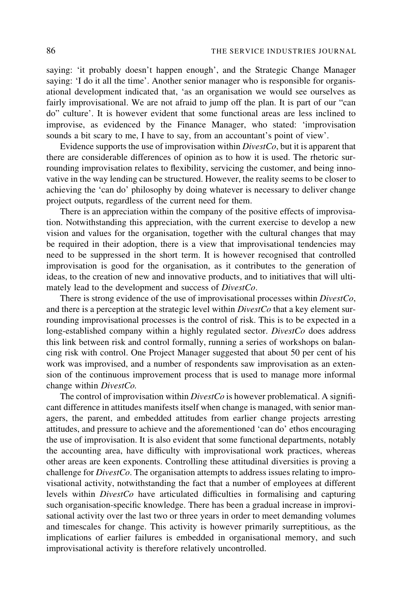saying: 'it probably doesn't happen enough', and the Strategic Change Manager saying: 'I do it all the time'. Another senior manager who is responsible for organisational development indicated that, 'as an organisation we would see ourselves as fairly improvisational. We are not afraid to jump off the plan. It is part of our "can do" culture'. It is however evident that some functional areas are less inclined to improvise, as evidenced by the Finance Manager, who stated: 'improvisation sounds a bit scary to me, I have to say, from an accountant's point of view'.

Evidence supports the use of improvisation within DivestCo, but it is apparent that there are considerable differences of opinion as to how it is used. The rhetoric surrounding improvisation relates to flexibility, servicing the customer, and being innovative in the way lending can be structured. However, the reality seems to be closer to achieving the 'can do' philosophy by doing whatever is necessary to deliver change project outputs, regardless of the current need for them.

There is an appreciation within the company of the positive effects of improvisation. Notwithstanding this appreciation, with the current exercise to develop a new vision and values for the organisation, together with the cultural changes that may be required in their adoption, there is a view that improvisational tendencies may need to be suppressed in the short term. It is however recognised that controlled improvisation is good for the organisation, as it contributes to the generation of ideas, to the creation of new and innovative products, and to initiatives that will ultimately lead to the development and success of DivestCo.

There is strong evidence of the use of improvisational processes within *DivestCo*, and there is a perception at the strategic level within *DivestCo* that a key element surrounding improvisational processes is the control of risk. This is to be expected in a long-established company within a highly regulated sector. DivestCo does address this link between risk and control formally, running a series of workshops on balancing risk with control. One Project Manager suggested that about 50 per cent of his work was improvised, and a number of respondents saw improvisation as an extension of the continuous improvement process that is used to manage more informal change within DivestCo.

The control of improvisation within  $DivestCo$  is however problematical. A significant difference in attitudes manifests itself when change is managed, with senior managers, the parent, and embedded attitudes from earlier change projects arresting attitudes, and pressure to achieve and the aforementioned 'can do' ethos encouraging the use of improvisation. It is also evident that some functional departments, notably the accounting area, have difficulty with improvisational work practices, whereas other areas are keen exponents. Controlling these attitudinal diversities is proving a challenge for *DivestCo*. The organisation attempts to address issues relating to improvisational activity, notwithstanding the fact that a number of employees at different levels within DivestCo have articulated difficulties in formalising and capturing such organisation-specific knowledge. There has been a gradual increase in improvisational activity over the last two or three years in order to meet demanding volumes and timescales for change. This activity is however primarily surreptitious, as the implications of earlier failures is embedded in organisational memory, and such improvisational activity is therefore relatively uncontrolled.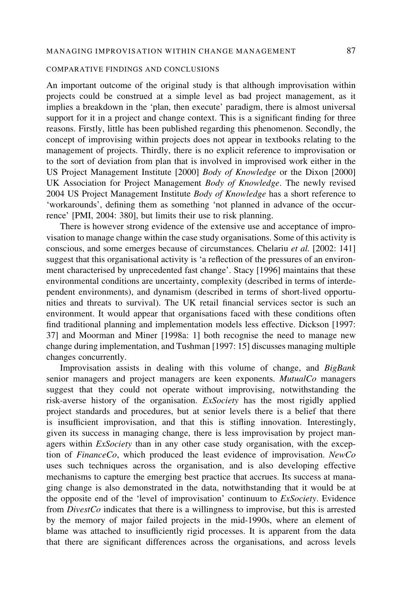#### COMPARATIVE FINDINGS AND CONCLUSIONS

An important outcome of the original study is that although improvisation within projects could be construed at a simple level as bad project management, as it implies a breakdown in the 'plan, then execute' paradigm, there is almost universal support for it in a project and change context. This is a significant finding for three reasons. Firstly, little has been published regarding this phenomenon. Secondly, the concept of improvising within projects does not appear in textbooks relating to the management of projects. Thirdly, there is no explicit reference to improvisation or to the sort of deviation from plan that is involved in improvised work either in the US Project Management Institute [2000] Body of Knowledge or the Dixon [2000] UK Association for Project Management Body of Knowledge. The newly revised 2004 US Project Management Institute Body of Knowledge has a short reference to 'workarounds', defining them as something 'not planned in advance of the occurrence' [PMI, 2004: 380], but limits their use to risk planning.

There is however strong evidence of the extensive use and acceptance of improvisation to manage change within the case study organisations. Some of this activity is conscious, and some emerges because of circumstances. Chelariu et al. [2002: 141] suggest that this organisational activity is 'a reflection of the pressures of an environment characterised by unprecedented fast change'. Stacy [1996] maintains that these environmental conditions are uncertainty, complexity (described in terms of interdependent environments), and dynamism (described in terms of short-lived opportunities and threats to survival). The UK retail financial services sector is such an environment. It would appear that organisations faced with these conditions often find traditional planning and implementation models less effective. Dickson [1997: 37] and Moorman and Miner [1998a: 1] both recognise the need to manage new change during implementation, and Tushman [1997: 15] discusses managing multiple changes concurrently.

Improvisation assists in dealing with this volume of change, and BigBank senior managers and project managers are keen exponents. *MutualCo* managers suggest that they could not operate without improvising, notwithstanding the risk-averse history of the organisation. ExSociety has the most rigidly applied project standards and procedures, but at senior levels there is a belief that there is insufficient improvisation, and that this is stifling innovation. Interestingly, given its success in managing change, there is less improvisation by project managers within  $ExSociety$  than in any other case study organisation, with the exception of FinanceCo, which produced the least evidence of improvisation. NewCo uses such techniques across the organisation, and is also developing effective mechanisms to capture the emerging best practice that accrues. Its success at managing change is also demonstrated in the data, notwithstanding that it would be at the opposite end of the 'level of improvisation' continuum to ExSociety. Evidence from DivestCo indicates that there is a willingness to improvise, but this is arrested by the memory of major failed projects in the mid-1990s, where an element of blame was attached to insufficiently rigid processes. It is apparent from the data that there are significant differences across the organisations, and across levels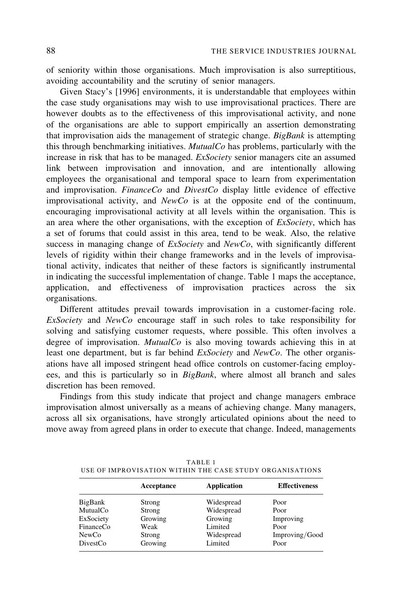of seniority within those organisations. Much improvisation is also surreptitious, avoiding accountability and the scrutiny of senior managers.

Given Stacy's [1996] environments, it is understandable that employees within the case study organisations may wish to use improvisational practices. There are however doubts as to the effectiveness of this improvisational activity, and none of the organisations are able to support empirically an assertion demonstrating that improvisation aids the management of strategic change. BigBank is attempting this through benchmarking initiatives. *MutualCo* has problems, particularly with the increase in risk that has to be managed. ExSociety senior managers cite an assumed link between improvisation and innovation, and are intentionally allowing employees the organisational and temporal space to learn from experimentation and improvisation. FinanceCo and DivestCo display little evidence of effective improvisational activity, and  $NewCo$  is at the opposite end of the continuum, encouraging improvisational activity at all levels within the organisation. This is an area where the other organisations, with the exception of  $ExSociety$ , which has a set of forums that could assist in this area, tend to be weak. Also, the relative success in managing change of *ExSociety* and *NewCo*, with significantly different levels of rigidity within their change frameworks and in the levels of improvisational activity, indicates that neither of these factors is significantly instrumental in indicating the successful implementation of change. Table 1 maps the acceptance, application, and effectiveness of improvisation practices across the six organisations.

Different attitudes prevail towards improvisation in a customer-facing role. ExSociety and NewCo encourage staff in such roles to take responsibility for solving and satisfying customer requests, where possible. This often involves a degree of improvisation. *MutualCo* is also moving towards achieving this in at least one department, but is far behind *ExSociety* and *NewCo*. The other organisations have all imposed stringent head office controls on customer-facing employees, and this is particularly so in BigBank, where almost all branch and sales discretion has been removed.

Findings from this study indicate that project and change managers embrace improvisation almost universally as a means of achieving change. Many managers, across all six organisations, have strongly articulated opinions about the need to move away from agreed plans in order to execute that change. Indeed, managements

| USE OF IMPROVISATION WITHIN THE CASE STUDY ORGANISATIONS |            |                    |                      |  |
|----------------------------------------------------------|------------|--------------------|----------------------|--|
|                                                          | Acceptance | <b>Application</b> | <b>Effectiveness</b> |  |
| BigBank                                                  | Strong     | Widespread         | Poor                 |  |
| MutualCo                                                 | Strong     | Widespread         | Poor                 |  |
| ExSociety                                                | Growing    | Growing            | Improving            |  |
| FinanceCo                                                | Weak       | Limited            | Poor                 |  |
| NewCo                                                    | Strong     | Widespread         | Improving/Good       |  |

DivestCo Growing Limited Poor

TABLE 1 USE OF IMPROVISATION WITHIN THE CASE STUDY ORGANISATIONS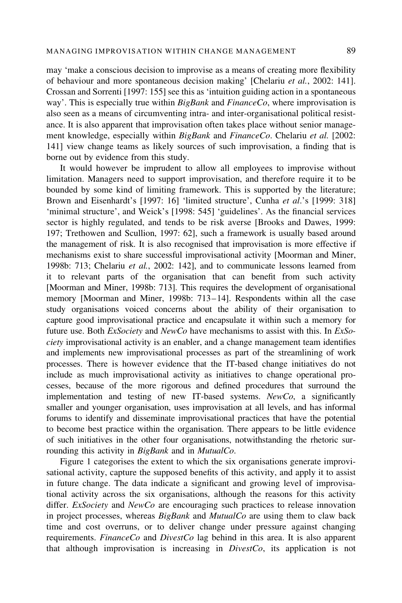may 'make a conscious decision to improvise as a means of creating more flexibility of behaviour and more spontaneous decision making' [Chelariu et al., 2002: 141]. Crossan and Sorrenti [1997: 155] see this as 'intuition guiding action in a spontaneous way'. This is especially true within *BigBank* and *FinanceCo*, where improvisation is also seen as a means of circumventing intra- and inter-organisational political resistance. It is also apparent that improvisation often takes place without senior management knowledge, especially within *BigBank* and *FinanceCo*. Chelariu et al. [2002: 141] view change teams as likely sources of such improvisation, a finding that is borne out by evidence from this study.

It would however be imprudent to allow all employees to improvise without limitation. Managers need to support improvisation, and therefore require it to be bounded by some kind of limiting framework. This is supported by the literature; Brown and Eisenhardt's [1997: 16] 'limited structure', Cunha et al.'s [1999: 318] 'minimal structure', and Weick's [1998: 545] 'guidelines'. As the financial services sector is highly regulated, and tends to be risk averse [Brooks and Dawes, 1999: 197; Trethowen and Scullion, 1997: 62], such a framework is usually based around the management of risk. It is also recognised that improvisation is more effective if mechanisms exist to share successful improvisational activity [Moorman and Miner, 1998b: 713; Chelariu et al., 2002: 142], and to communicate lessons learned from it to relevant parts of the organisation that can benefit from such activity [Moorman and Miner, 1998b: 713]. This requires the development of organisational memory [Moorman and Miner, 1998b: 713–14]. Respondents within all the case study organisations voiced concerns about the ability of their organisation to capture good improvisational practice and encapsulate it within such a memory for future use. Both *ExSociety* and *NewCo* have mechanisms to assist with this. In *ExSo*ciety improvisational activity is an enabler, and a change management team identifies and implements new improvisational processes as part of the streamlining of work processes. There is however evidence that the IT-based change initiatives do not include as much improvisational activity as initiatives to change operational processes, because of the more rigorous and defined procedures that surround the implementation and testing of new IT-based systems.  $NewCo$ , a significantly smaller and younger organisation, uses improvisation at all levels, and has informal forums to identify and disseminate improvisational practices that have the potential to become best practice within the organisation. There appears to be little evidence of such initiatives in the other four organisations, notwithstanding the rhetoric surrounding this activity in *BigBank* and in *MutualCo*.

Figure 1 categorises the extent to which the six organisations generate improvisational activity, capture the supposed benefits of this activity, and apply it to assist in future change. The data indicate a significant and growing level of improvisational activity across the six organisations, although the reasons for this activity differ. *ExSociety* and *NewCo* are encouraging such practices to release innovation in project processes, whereas  $BigB$  and MutualCo are using them to claw back time and cost overruns, or to deliver change under pressure against changing requirements. FinanceCo and DivestCo lag behind in this area. It is also apparent that although improvisation is increasing in DivestCo, its application is not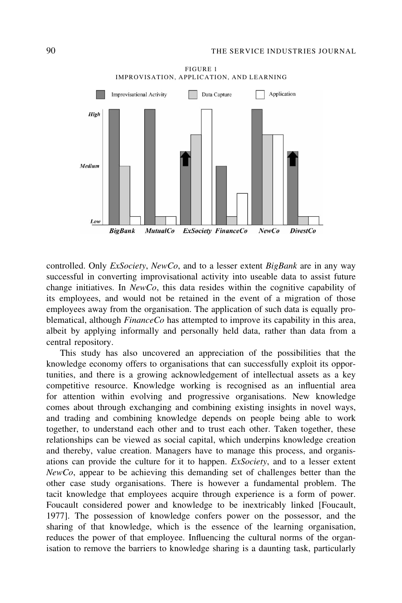

FIGURE 1 IMPROVISATION, APPLICATION, AND LEARNING

controlled. Only *ExSociety*, *NewCo*, and to a lesser extent *BigBank* are in any way successful in converting improvisational activity into useable data to assist future change initiatives. In NewCo, this data resides within the cognitive capability of its employees, and would not be retained in the event of a migration of those employees away from the organisation. The application of such data is equally problematical, although  $FinanceCo$  has attempted to improve its capability in this area, albeit by applying informally and personally held data, rather than data from a central repository.

This study has also uncovered an appreciation of the possibilities that the knowledge economy offers to organisations that can successfully exploit its opportunities, and there is a growing acknowledgement of intellectual assets as a key competitive resource. Knowledge working is recognised as an influential area for attention within evolving and progressive organisations. New knowledge comes about through exchanging and combining existing insights in novel ways, and trading and combining knowledge depends on people being able to work together, to understand each other and to trust each other. Taken together, these relationships can be viewed as social capital, which underpins knowledge creation and thereby, value creation. Managers have to manage this process, and organisations can provide the culture for it to happen. ExSociety, and to a lesser extent NewCo, appear to be achieving this demanding set of challenges better than the other case study organisations. There is however a fundamental problem. The tacit knowledge that employees acquire through experience is a form of power. Foucault considered power and knowledge to be inextricably linked [Foucault, 1977]. The possession of knowledge confers power on the possessor, and the sharing of that knowledge, which is the essence of the learning organisation, reduces the power of that employee. Influencing the cultural norms of the organisation to remove the barriers to knowledge sharing is a daunting task, particularly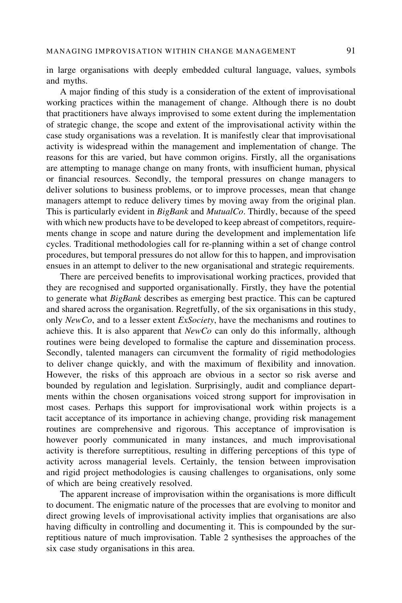in large organisations with deeply embedded cultural language, values, symbols and myths.

A major finding of this study is a consideration of the extent of improvisational working practices within the management of change. Although there is no doubt that practitioners have always improvised to some extent during the implementation of strategic change, the scope and extent of the improvisational activity within the case study organisations was a revelation. It is manifestly clear that improvisational activity is widespread within the management and implementation of change. The reasons for this are varied, but have common origins. Firstly, all the organisations are attempting to manage change on many fronts, with insufficient human, physical or financial resources. Secondly, the temporal pressures on change managers to deliver solutions to business problems, or to improve processes, mean that change managers attempt to reduce delivery times by moving away from the original plan. This is particularly evident in BigBank and MutualCo. Thirdly, because of the speed with which new products have to be developed to keep abreast of competitors, requirements change in scope and nature during the development and implementation life cycles. Traditional methodologies call for re-planning within a set of change control procedures, but temporal pressures do not allow for this to happen, and improvisation ensues in an attempt to deliver to the new organisational and strategic requirements.

There are perceived benefits to improvisational working practices, provided that they are recognised and supported organisationally. Firstly, they have the potential to generate what BigBank describes as emerging best practice. This can be captured and shared across the organisation. Regretfully, of the six organisations in this study, only NewCo, and to a lesser extent ExSociety, have the mechanisms and routines to achieve this. It is also apparent that  $NewCo$  can only do this informally, although routines were being developed to formalise the capture and dissemination process. Secondly, talented managers can circumvent the formality of rigid methodologies to deliver change quickly, and with the maximum of flexibility and innovation. However, the risks of this approach are obvious in a sector so risk averse and bounded by regulation and legislation. Surprisingly, audit and compliance departments within the chosen organisations voiced strong support for improvisation in most cases. Perhaps this support for improvisational work within projects is a tacit acceptance of its importance in achieving change, providing risk management routines are comprehensive and rigorous. This acceptance of improvisation is however poorly communicated in many instances, and much improvisational activity is therefore surreptitious, resulting in differing perceptions of this type of activity across managerial levels. Certainly, the tension between improvisation and rigid project methodologies is causing challenges to organisations, only some of which are being creatively resolved.

The apparent increase of improvisation within the organisations is more difficult to document. The enigmatic nature of the processes that are evolving to monitor and direct growing levels of improvisational activity implies that organisations are also having difficulty in controlling and documenting it. This is compounded by the surreptitious nature of much improvisation. Table 2 synthesises the approaches of the six case study organisations in this area.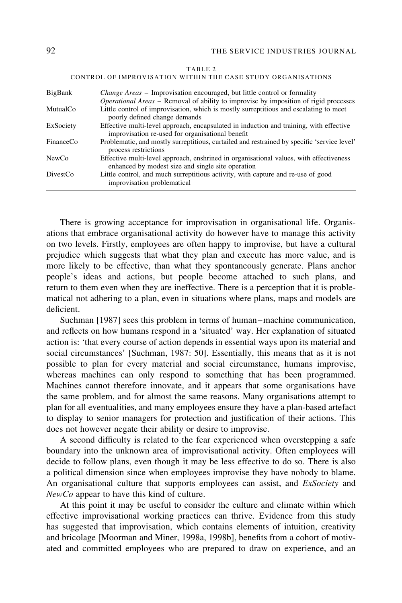| BigBank         | <i>Change Areas</i> – Improvisation encouraged, but little control or formality<br><i>Operational Areas</i> – Removal of ability to improvise by imposition of rigid processes |
|-----------------|--------------------------------------------------------------------------------------------------------------------------------------------------------------------------------|
| <b>MutualCo</b> | Little control of improvisation, which is mostly surreptitious and escalating to meet                                                                                          |
|                 | poorly defined change demands                                                                                                                                                  |
| ExSociety       | Effective multi-level approach, encapsulated in induction and training, with effective<br>improvisation re-used for organisational benefit                                     |
| FinanceCo       | Problematic, and mostly surreptitious, curtailed and restrained by specific 'service level'<br>process restrictions                                                            |
| NewCo           | Effective multi-level approach, enshrined in organisational values, with effectiveness<br>enhanced by modest size and single site operation                                    |
| <b>DivestCo</b> | Little control, and much surreptitious activity, with capture and re-use of good<br>improvisation problematical                                                                |

| TABLE 2                                                      |  |  |  |  |
|--------------------------------------------------------------|--|--|--|--|
| CONTROL OF IMPROVISATION WITHIN THE CASE STUDY ORGANISATIONS |  |  |  |  |

There is growing acceptance for improvisation in organisational life. Organisations that embrace organisational activity do however have to manage this activity on two levels. Firstly, employees are often happy to improvise, but have a cultural prejudice which suggests that what they plan and execute has more value, and is more likely to be effective, than what they spontaneously generate. Plans anchor people's ideas and actions, but people become attached to such plans, and return to them even when they are ineffective. There is a perception that it is problematical not adhering to a plan, even in situations where plans, maps and models are deficient.

Suchman [1987] sees this problem in terms of human–machine communication, and reflects on how humans respond in a 'situated' way. Her explanation of situated action is: 'that every course of action depends in essential ways upon its material and social circumstances' [Suchman, 1987: 50]. Essentially, this means that as it is not possible to plan for every material and social circumstance, humans improvise, whereas machines can only respond to something that has been programmed. Machines cannot therefore innovate, and it appears that some organisations have the same problem, and for almost the same reasons. Many organisations attempt to plan for all eventualities, and many employees ensure they have a plan-based artefact to display to senior managers for protection and justification of their actions. This does not however negate their ability or desire to improvise.

A second difficulty is related to the fear experienced when overstepping a safe boundary into the unknown area of improvisational activity. Often employees will decide to follow plans, even though it may be less effective to do so. There is also a political dimension since when employees improvise they have nobody to blame. An organisational culture that supports employees can assist, and *ExSociety* and NewCo appear to have this kind of culture.

At this point it may be useful to consider the culture and climate within which effective improvisational working practices can thrive. Evidence from this study has suggested that improvisation, which contains elements of intuition, creativity and bricolage [Moorman and Miner, 1998a, 1998b], benefits from a cohort of motivated and committed employees who are prepared to draw on experience, and an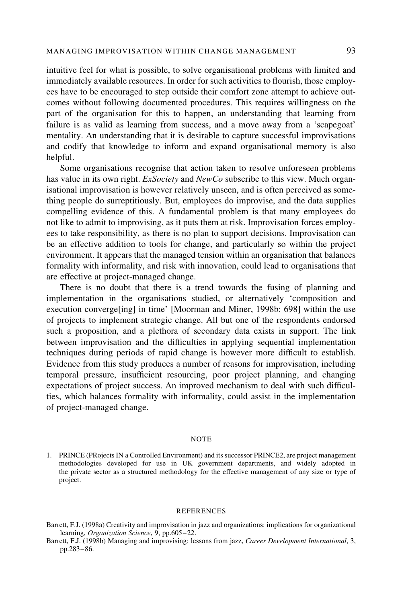## MANAGING IMPROVISATION WITHIN CHANGE MANAGEMENT 93

intuitive feel for what is possible, to solve organisational problems with limited and immediately available resources. In order for such activities to flourish, those employees have to be encouraged to step outside their comfort zone attempt to achieve outcomes without following documented procedures. This requires willingness on the part of the organisation for this to happen, an understanding that learning from failure is as valid as learning from success, and a move away from a 'scapegoat' mentality. An understanding that it is desirable to capture successful improvisations and codify that knowledge to inform and expand organisational memory is also helpful.

Some organisations recognise that action taken to resolve unforeseen problems has value in its own right. *ExSociety* and *NewCo* subscribe to this view. Much organisational improvisation is however relatively unseen, and is often perceived as something people do surreptitiously. But, employees do improvise, and the data supplies compelling evidence of this. A fundamental problem is that many employees do not like to admit to improvising, as it puts them at risk. Improvisation forces employees to take responsibility, as there is no plan to support decisions. Improvisation can be an effective addition to tools for change, and particularly so within the project environment. It appears that the managed tension within an organisation that balances formality with informality, and risk with innovation, could lead to organisations that are effective at project-managed change.

There is no doubt that there is a trend towards the fusing of planning and implementation in the organisations studied, or alternatively 'composition and execution converge[ing] in time' [Moorman and Miner, 1998b: 698] within the use of projects to implement strategic change. All but one of the respondents endorsed such a proposition, and a plethora of secondary data exists in support. The link between improvisation and the difficulties in applying sequential implementation techniques during periods of rapid change is however more difficult to establish. Evidence from this study produces a number of reasons for improvisation, including temporal pressure, insufficient resourcing, poor project planning, and changing expectations of project success. An improved mechanism to deal with such difficulties, which balances formality with informality, could assist in the implementation of project-managed change.

#### **NOTE**

#### REFERENCES

- Barrett, F.J. (1998a) Creativity and improvisation in jazz and organizations: implications for organizational learning, Organization Science, 9, pp.605–22.
- Barrett, F.J. (1998b) Managing and improvising: lessons from jazz, Career Development International, 3, pp.283–86.

<sup>1.</sup> PRINCE (PRojects IN a Controlled Environment) and its successor PRINCE2, are project management methodologies developed for use in UK government departments, and widely adopted in the private sector as a structured methodology for the effective management of any size or type of project.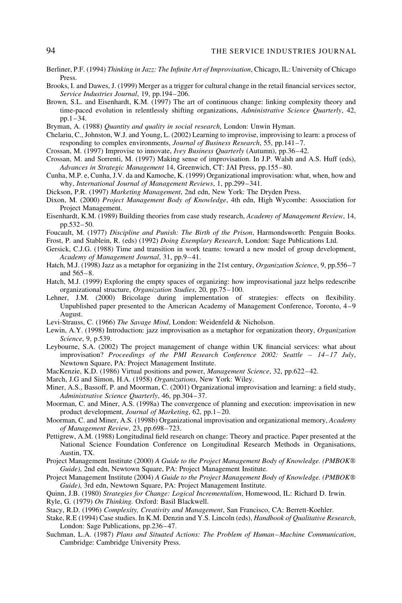- Berliner, P.F. (1994) Thinking in Jazz: The Infinite Art of Improvisation, Chicago, IL: University of Chicago Press.
- Brooks, I. and Dawes, J. (1999) Merger as a trigger for cultural change in the retail financial services sector, Service Industries Journal, 19, pp.194–206.
- Brown, S.L. and Eisenhardt, K.M. (1997) The art of continuous change: linking complexity theory and time-paced evolution in relentlessly shifting organizations, Administrative Science Quarterly, 42, pp.1–34.
- Bryman, A. (1988) Quantity and quality in social research, London: Unwin Hyman.
- Chelariu, C., Johnston, W.J. and Young, L. (2002) Learning to improvise, improvising to learn: a process of responding to complex environments, *Journal of Business Research*, 55, pp.141–7.
- Crossan, M. (1997) Improvise to innovate, Ivey Business Quarterly (Autumn), pp.36–42.
- Crossan, M. and Sorrenti, M. (1997) Making sense of improvisation. In J.P. Walsh and A.S. Huff (eds), Advances in Strategic Management 14, Greenwich, CT: JAI Press, pp.155–80.
- Cunha, M.P. e, Cunha, J.V. da and Kamoche, K. (1999) Organizational improvisation: what, when, how and why, International Journal of Management Reviews, 1, pp.299–341.
- Dickson, P.R. (1997) Marketing Management, 2nd edn, New York: The Dryden Press.
- Dixon, M. (2000) Project Management Body of Knowledge, 4th edn, High Wycombe: Association for Project Management.
- Eisenhardt, K.M. (1989) Building theories from case study research, Academy of Management Review, 14, pp.532–50.
- Foucault, M. (1977) Discipline and Punish: The Birth of the Prison, Harmondsworth: Penguin Books.

Frost, P. and Stablein, R. (eds) (1992) Doing Exemplary Research, London: Sage Publications Ltd.

- Gersick, C.J.G. (1988) Time and transition in work teams: toward a new model of group development, Academy of Management Journal, 31, pp.9–41.
- Hatch, M.J. (1998) Jazz as a metaphor for organizing in the 21st century, Organization Science, 9, pp.556–7 and 565–8.
- Hatch, M.J. (1999) Exploring the empty spaces of organizing: how improvisational jazz helps redescribe organizational structure, Organization Studies, 20, pp.75–100.
- Lehner, J.M. (2000) Bricolage during implementation of strategies: effects on flexibility. Unpublished paper presented to the American Academy of Management Conference, Toronto, 4– 9 August.
- Levi-Strauss, C. (1966) The Savage Mind, London: Weidenfeld & Nicholson.
- Lewin, A.Y. (1998) Introduction: jazz improvisation as a metaphor for organization theory, Organization Science, 9, p.539.
- Leybourne, S.A. (2002) The project management of change within UK financial services: what about improvisation? Proceedings of the PMI Research Conference 2002: Seattle  $-14-17$  July, Newtown Square, PA: Project Management Institute.
- MacKenzie, K.D. (1986) Virtual positions and power, Management Science, 32, pp.622–42.
- March, J.G and Simon, H.A. (1958) Organizations, New York: Wiley.
- Miner, A.S., Bassoff, P. and Moorman, C. (2001) Organizational improvisation and learning: a field study, Administrative Science Quarterly, 46, pp.304–37.
- Moorman, C. and Miner, A.S. (1998a) The convergence of planning and execution: improvisation in new product development, Journal of Marketing, 62, pp.1-20.
- Moorman, C. and Miner, A.S. (1998b) Organizational improvisation and organizational memory, Academy of Management Review, 23, pp.698–723.
- Pettigrew, A.M. (1988) Longitudinal field research on change: Theory and practice. Paper presented at the National Science Foundation Conference on Longitudinal Research Methods in Organisations, Austin, TX.
- Project Management Institute (2000) A Guide to the Project Management Body of Knowledge. (PMBOK® Guide), 2nd edn, Newtown Square, PA: Project Management Institute.
- Project Management Institute (2004) A Guide to the Project Management Body of Knowledge. (PMBOK® Guide), 3rd edn, Newtown Square, PA: Project Management Institute.

Quinn, J.B. (1980) Strategies for Change: Logical Incrementalism, Homewood, IL: Richard D. Irwin.

Ryle, G. (1979) On Thinking. Oxford: Basil Blackwell.

Stacy, R.D. (1996) Complexity, Creativity and Management, San Francisco, CA: Berrett-Koehler.

- Stake, R.E (1994) Case studies. In K.M. Denzin and Y.S. Lincoln (eds), Handbook of Qualitative Research, London: Sage Publications, pp.236–47.
- Suchman, L.A. (1987) Plans and Situated Actions: The Problem of Human–Machine Communication, Cambridge: Cambridge University Press.